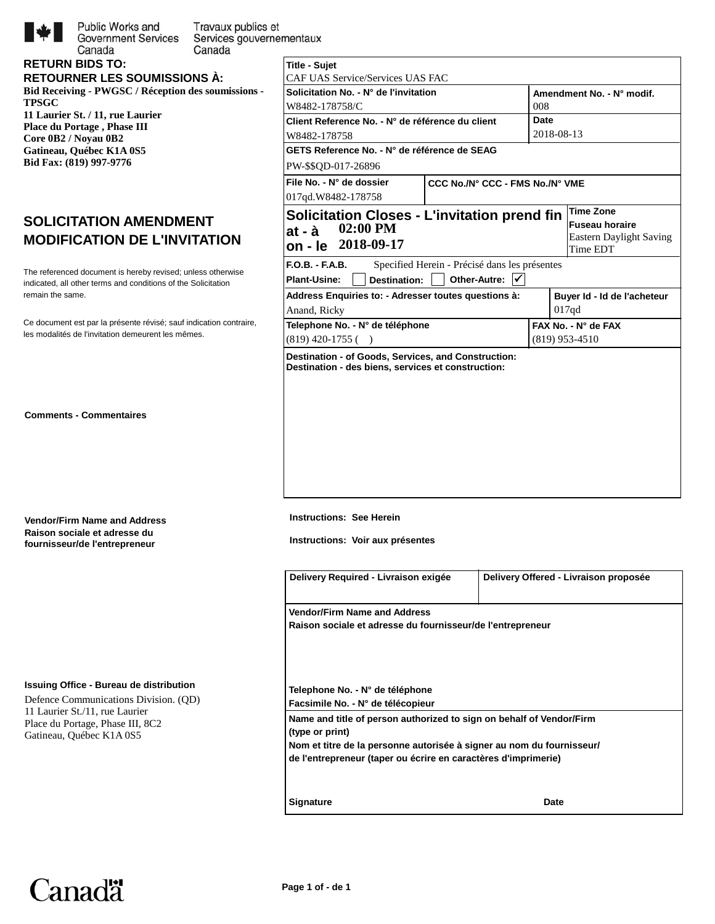

Travaux publics et **Government Services** Services gouvernementaux Canada

| <b>RETURN BIDS TO:</b>              |  |
|-------------------------------------|--|
| <b>RETOURNER LES SOUMISSIONS À:</b> |  |

Public Works and

Canada

**Bid Receiving - PWGSC / Réception des soumissions - TPSGC 11 Laurier St. / 11, rue Laurier Place du Portage , Phase III Core 0B2 / Noyau 0B2 Gatineau, Québec K1A 0S5 Bid Fax: (819) 997-9776**

# **SOLICITATION AMENDMENT MODIFICATION DE L'INVITATION**

indicated, all other terms and conditions of the Solicitation The referenced document is hereby revised; unless otherwise remain the same.

les modalités de l'invitation demeurent les mêmes. Ce document est par la présente révisé; sauf indication contraire,

**Comments - Commentaires**

**Vendor/Firm Name and Address Raison sociale et adresse du fournisseur/de l'entrepreneur**

#### **Issuing Office - Bureau de distribution**

Defence Communications Division. (QD) 11 Laurier St./11, rue Laurier Place du Portage, Phase III, 8C2 Gatineau, Québec K1A 0S5

| <b>Title - Sujet</b><br>CAF UAS Service/Services UAS FAC                                                  |                                                             |            |                                |  |  |
|-----------------------------------------------------------------------------------------------------------|-------------------------------------------------------------|------------|--------------------------------|--|--|
| Solicitation No. - N° de l'invitation                                                                     |                                                             |            | Amendment No. - N° modif.      |  |  |
| W8482-178758/C                                                                                            |                                                             | 008        |                                |  |  |
| Client Reference No. - N° de référence du client                                                          |                                                             | Date       |                                |  |  |
| W8482-178758                                                                                              |                                                             | 2018-08-13 |                                |  |  |
| GETS Reference No. - N° de référence de SEAG                                                              |                                                             |            |                                |  |  |
| PW-\$\$QD-017-26896                                                                                       |                                                             |            |                                |  |  |
|                                                                                                           |                                                             |            |                                |  |  |
|                                                                                                           | File No. - N° de dossier<br>CCC No./N° CCC - FMS No./N° VME |            |                                |  |  |
| 017qd.W8482-178758                                                                                        |                                                             |            | <b>Time Zone</b>               |  |  |
| <b>Solicitation Closes - L'invitation prend fin</b><br><b>Fuseau horaire</b>                              |                                                             |            |                                |  |  |
| $02:00$ PM<br>at - à                                                                                      |                                                             |            | <b>Eastern Daylight Saving</b> |  |  |
| on - le 2018-09-17                                                                                        |                                                             |            | Time EDT                       |  |  |
| $F.O.B. - F.A.B.$                                                                                         | Specified Herein - Précisé dans les présentes               |            |                                |  |  |
| Plant-Usine:<br><b>Destination:</b>                                                                       | Other-Autre:<br>✔                                           |            |                                |  |  |
| Address Enquiries to: - Adresser toutes questions à:                                                      |                                                             |            | Buyer Id - Id de l'acheteur    |  |  |
| Anand, Ricky                                                                                              |                                                             |            | 017qd                          |  |  |
| Telephone No. - N° de téléphone                                                                           |                                                             |            | FAX No. - N° de FAX            |  |  |
| $(819)$ 420-1755 ()                                                                                       |                                                             |            | $(819)$ 953-4510               |  |  |
| Destination - of Goods, Services, and Construction:<br>Destination - des biens, services et construction: |                                                             |            |                                |  |  |

**Instructions: See Herein**

**Instructions: Voir aux présentes**

| Delivery Required - Livraison exigée                                                    | Delivery Offered - Livraison proposée |  |  |  |  |
|-----------------------------------------------------------------------------------------|---------------------------------------|--|--|--|--|
| <b>Vendor/Firm Name and Address</b>                                                     |                                       |  |  |  |  |
| Raison sociale et adresse du fournisseur/de l'entrepreneur                              |                                       |  |  |  |  |
| Telephone No. - N° de téléphone                                                         |                                       |  |  |  |  |
| Facsimile No. - N° de télécopieur                                                       |                                       |  |  |  |  |
| Name and title of person authorized to sign on behalf of Vendor/Firm<br>(type or print) |                                       |  |  |  |  |
| Nom et titre de la personne autorisée à signer au nom du fournisseur/                   |                                       |  |  |  |  |
| de l'entrepreneur (taper ou écrire en caractères d'imprimerie)                          |                                       |  |  |  |  |
|                                                                                         |                                       |  |  |  |  |
| <b>Signature</b>                                                                        | Date                                  |  |  |  |  |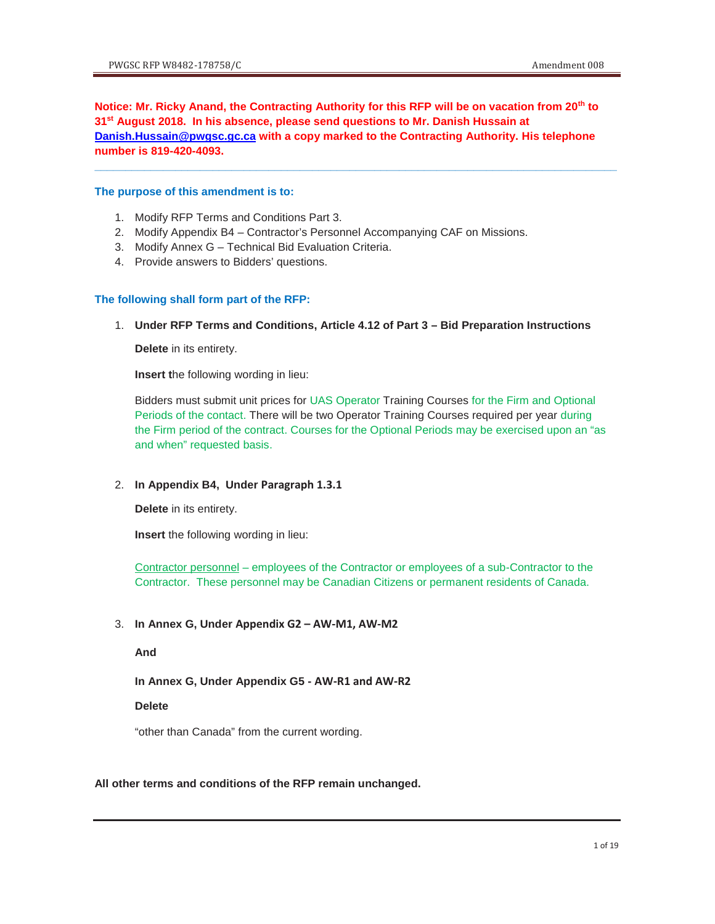# **Notice: Mr. Ricky Anand, the Contracting Authority for this RFP will be on vacation from 20th to 31st August 2018. In his absence, please send questions to Mr. Danish Hussain at Danish.Hussain@pwgsc.gc.ca with a copy marked to the Contracting Authority. His telephone number is 819-420-4093.**

**\_\_\_\_\_\_\_\_\_\_\_\_\_\_\_\_\_\_\_\_\_\_\_\_\_\_\_\_\_\_\_\_\_\_\_\_\_\_\_\_\_\_\_\_\_\_\_\_\_\_\_\_\_\_\_\_\_\_\_\_\_\_\_\_\_\_\_\_\_\_\_\_\_\_\_\_\_\_\_\_\_\_\_\_** 

### **The purpose of this amendment is to:**

- 1. Modify RFP Terms and Conditions Part 3.
- 2. Modify Appendix B4 Contractor's Personnel Accompanying CAF on Missions.
- 3. Modify Annex G Technical Bid Evaluation Criteria.
- 4. Provide answers to Bidders' questions.

#### **The following shall form part of the RFP:**

1. **Under RFP Terms and Conditions, Article 4.12 of Part 3 – Bid Preparation Instructions** 

**Delete** in its entirety.

**Insert t**he following wording in lieu:

Bidders must submit unit prices for UAS Operator Training Courses for the Firm and Optional Periods of the contact. There will be two Operator Training Courses required per year during the Firm period of the contract. Courses for the Optional Periods may be exercised upon an "as and when" requested basis.

### 2. **In Appendix B4, Under Paragraph 1.3.1**

**Delete** in its entirety.

**Insert** the following wording in lieu:

Contractor personnel – employees of the Contractor or employees of a sub-Contractor to the Contractor. These personnel may be Canadian Citizens or permanent residents of Canada.

### 3. **In Annex G, Under Appendix G2 – AW-M1, AW-M2**

**And** 

**In Annex G, Under Appendix G5 - AW-R1 and AW-R2**

# **Delete**

"other than Canada" from the current wording.

### **All other terms and conditions of the RFP remain unchanged.**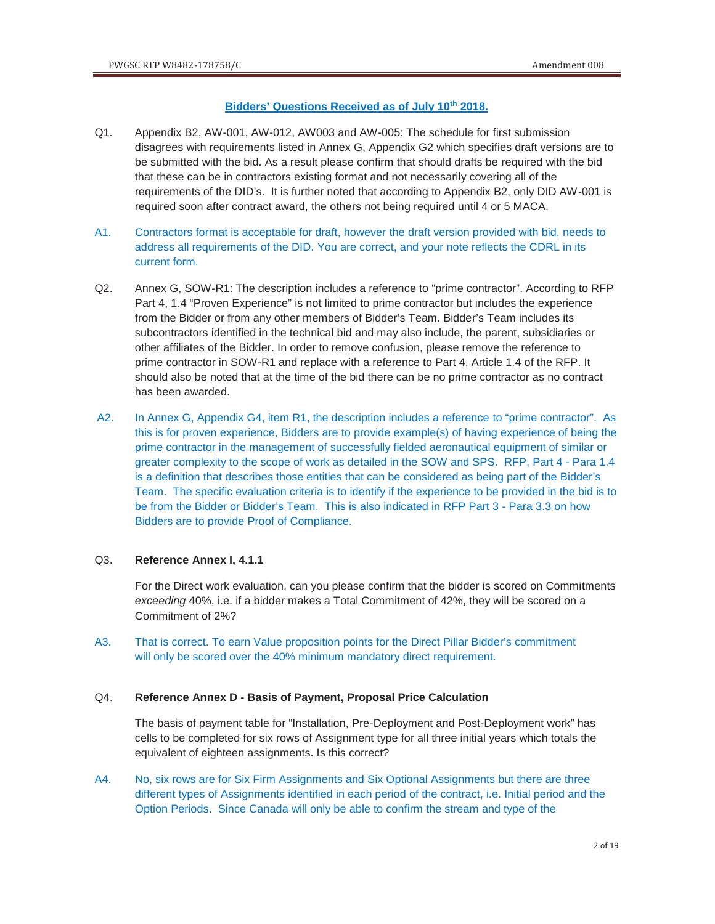# **Bidders' Questions Received as of July 10th 2018.**

- Q1. Appendix B2, AW-001, AW-012, AW003 and AW-005: The schedule for first submission disagrees with requirements listed in Annex G, Appendix G2 which specifies draft versions are to be submitted with the bid. As a result please confirm that should drafts be required with the bid that these can be in contractors existing format and not necessarily covering all of the requirements of the DID's. It is further noted that according to Appendix B2, only DID AW-001 is required soon after contract award, the others not being required until 4 or 5 MACA.
- A1. Contractors format is acceptable for draft, however the draft version provided with bid, needs to address all requirements of the DID. You are correct, and your note reflects the CDRL in its current form.
- Q2. Annex G, SOW-R1: The description includes a reference to "prime contractor". According to RFP Part 4, 1.4 "Proven Experience" is not limited to prime contractor but includes the experience from the Bidder or from any other members of Bidder's Team. Bidder's Team includes its subcontractors identified in the technical bid and may also include, the parent, subsidiaries or other affiliates of the Bidder. In order to remove confusion, please remove the reference to prime contractor in SOW-R1 and replace with a reference to Part 4, Article 1.4 of the RFP. It should also be noted that at the time of the bid there can be no prime contractor as no contract has been awarded.
- A2. In Annex G, Appendix G4, item R1, the description includes a reference to "prime contractor". As this is for proven experience, Bidders are to provide example(s) of having experience of being the prime contractor in the management of successfully fielded aeronautical equipment of similar or greater complexity to the scope of work as detailed in the SOW and SPS. RFP, Part 4 - Para 1.4 is a definition that describes those entities that can be considered as being part of the Bidder's Team. The specific evaluation criteria is to identify if the experience to be provided in the bid is to be from the Bidder or Bidder's Team. This is also indicated in RFP Part 3 - Para 3.3 on how Bidders are to provide Proof of Compliance.

# Q3. **Reference Annex I, 4.1.1**

 For the Direct work evaluation, can you please confirm that the bidder is scored on Commitments *exceeding* 40%, i.e. if a bidder makes a Total Commitment of 42%, they will be scored on a Commitment of 2%?

A3. That is correct. To earn Value proposition points for the Direct Pillar Bidder's commitment will only be scored over the 40% minimum mandatory direct requirement.

#### Q4. **Reference Annex D - Basis of Payment, Proposal Price Calculation**

The basis of payment table for "Installation, Pre-Deployment and Post-Deployment work" has cells to be completed for six rows of Assignment type for all three initial years which totals the equivalent of eighteen assignments. Is this correct?

A4. No, six rows are for Six Firm Assignments and Six Optional Assignments but there are three different types of Assignments identified in each period of the contract, i.e. Initial period and the Option Periods. Since Canada will only be able to confirm the stream and type of the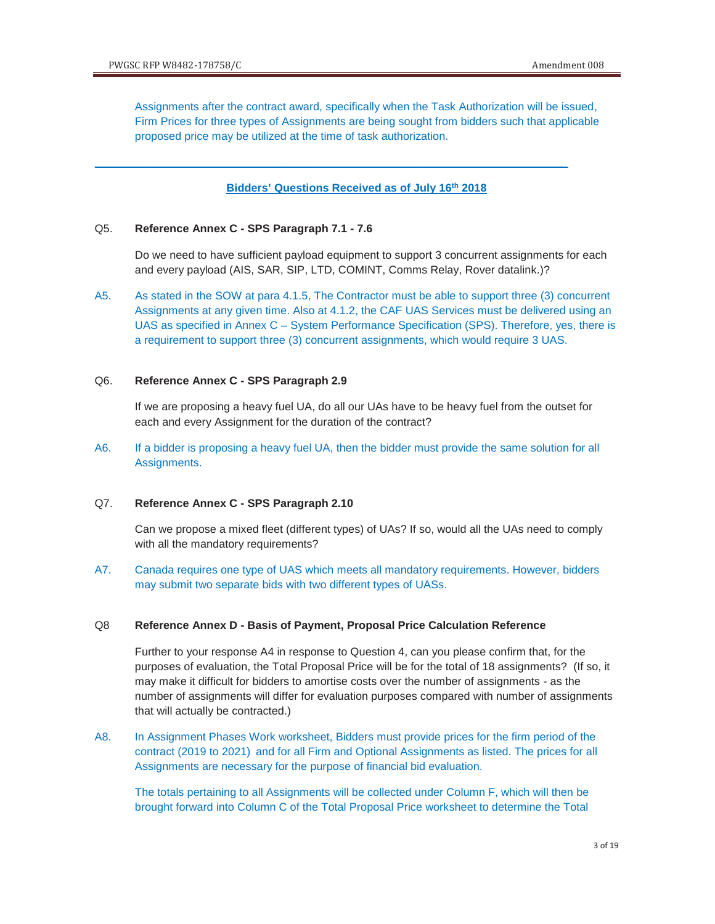Assignments after the contract award, specifically when the Task Authorization will be issued, Firm Prices for three types of Assignments are being sought from bidders such that applicable proposed price may be utilized at the time of task authorization.

#### **Bidders' Questions Received as of July 16th 2018**

**\_\_\_\_\_\_\_\_\_\_\_\_\_\_\_\_\_\_\_\_\_\_\_\_\_\_\_\_\_\_\_\_\_\_\_\_\_\_\_\_\_\_\_\_\_\_\_\_\_\_\_\_\_\_\_\_\_\_\_\_\_\_\_\_\_\_\_\_\_\_\_\_\_\_\_\_** 

### Q5. **Reference Annex C - SPS Paragraph 7.1 - 7.6**

 Do we need to have sufficient payload equipment to support 3 concurrent assignments for each and every payload (AIS, SAR, SIP, LTD, COMINT, Comms Relay, Rover datalink.)?

A5. As stated in the SOW at para 4.1.5, The Contractor must be able to support three (3) concurrent Assignments at any given time. Also at 4.1.2, the CAF UAS Services must be delivered using an UAS as specified in Annex C – System Performance Specification (SPS). Therefore, yes, there is a requirement to support three (3) concurrent assignments, which would require 3 UAS.

### Q6. **Reference Annex C - SPS Paragraph 2.9**

 If we are proposing a heavy fuel UA, do all our UAs have to be heavy fuel from the outset for each and every Assignment for the duration of the contract?

A6. If a bidder is proposing a heavy fuel UA, then the bidder must provide the same solution for all Assignments.

# Q7. **Reference Annex C - SPS Paragraph 2.10**

 Can we propose a mixed fleet (different types) of UAs? If so, would all the UAs need to comply with all the mandatory requirements?

A7. Canada requires one type of UAS which meets all mandatory requirements. However, bidders may submit two separate bids with two different types of UASs.

#### Q8 **Reference Annex D - Basis of Payment, Proposal Price Calculation Reference**

Further to your response A4 in response to Question 4, can you please confirm that, for the purposes of evaluation, the Total Proposal Price will be for the total of 18 assignments? (If so, it may make it difficult for bidders to amortise costs over the number of assignments - as the number of assignments will differ for evaluation purposes compared with number of assignments that will actually be contracted.)

A8. In Assignment Phases Work worksheet, Bidders must provide prices for the firm period of the contract (2019 to 2021) and for all Firm and Optional Assignments as listed. The prices for all Assignments are necessary for the purpose of financial bid evaluation.

 The totals pertaining to all Assignments will be collected under Column F, which will then be brought forward into Column C of the Total Proposal Price worksheet to determine the Total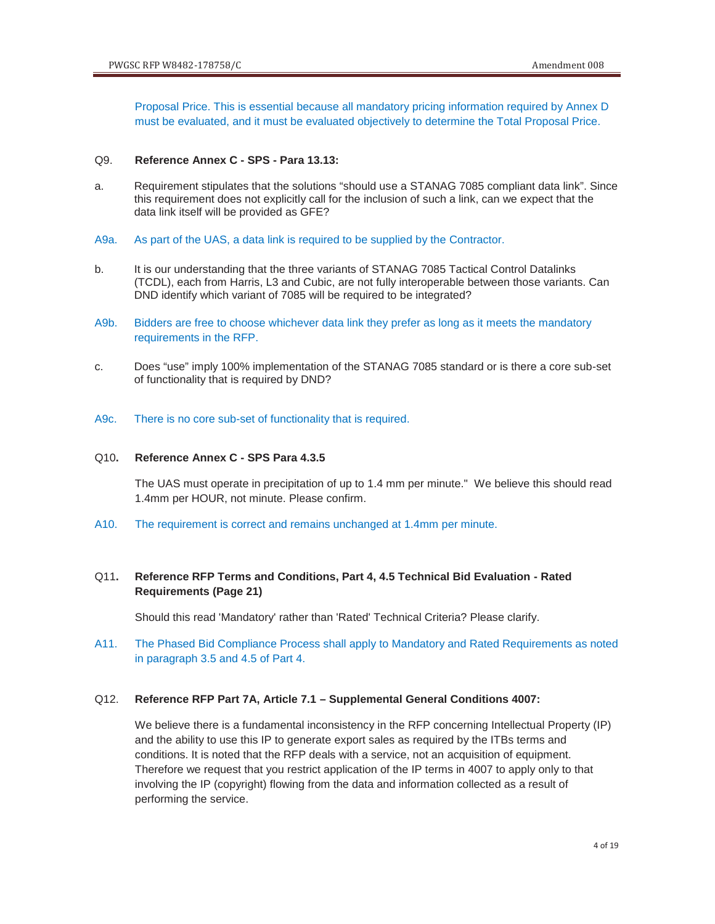Proposal Price. This is essential because all mandatory pricing information required by Annex D must be evaluated, and it must be evaluated objectively to determine the Total Proposal Price.

#### Q9. **Reference Annex C - SPS - Para 13.13:**

- a. Requirement stipulates that the solutions "should use a STANAG 7085 compliant data link". Since this requirement does not explicitly call for the inclusion of such a link, can we expect that the data link itself will be provided as GFE?
- A9a. As part of the UAS, a data link is required to be supplied by the Contractor.
- b. It is our understanding that the three variants of STANAG 7085 Tactical Control Datalinks (TCDL), each from Harris, L3 and Cubic, are not fully interoperable between those variants. Can DND identify which variant of 7085 will be required to be integrated?
- A9b. Bidders are free to choose whichever data link they prefer as long as it meets the mandatory requirements in the RFP.
- c. Does "use" imply 100% implementation of the STANAG 7085 standard or is there a core sub-set of functionality that is required by DND?
- A9c. There is no core sub-set of functionality that is required.

#### Q10**. Reference Annex C - SPS Para 4.3.5**

The UAS must operate in precipitation of up to 1.4 mm per minute." We believe this should read 1.4mm per HOUR, not minute. Please confirm.

A10. The requirement is correct and remains unchanged at 1.4mm per minute.

# Q11**. Reference RFP Terms and Conditions, Part 4, 4.5 Technical Bid Evaluation - Rated Requirements (Page 21)**

Should this read 'Mandatory' rather than 'Rated' Technical Criteria? Please clarify.

A11. The Phased Bid Compliance Process shall apply to Mandatory and Rated Requirements as noted in paragraph 3.5 and 4.5 of Part 4.

### Q12. **Reference RFP Part 7A, Article 7.1 – Supplemental General Conditions 4007:**

 We believe there is a fundamental inconsistency in the RFP concerning Intellectual Property (IP) and the ability to use this IP to generate export sales as required by the ITBs terms and conditions. It is noted that the RFP deals with a service, not an acquisition of equipment. Therefore we request that you restrict application of the IP terms in 4007 to apply only to that involving the IP (copyright) flowing from the data and information collected as a result of performing the service.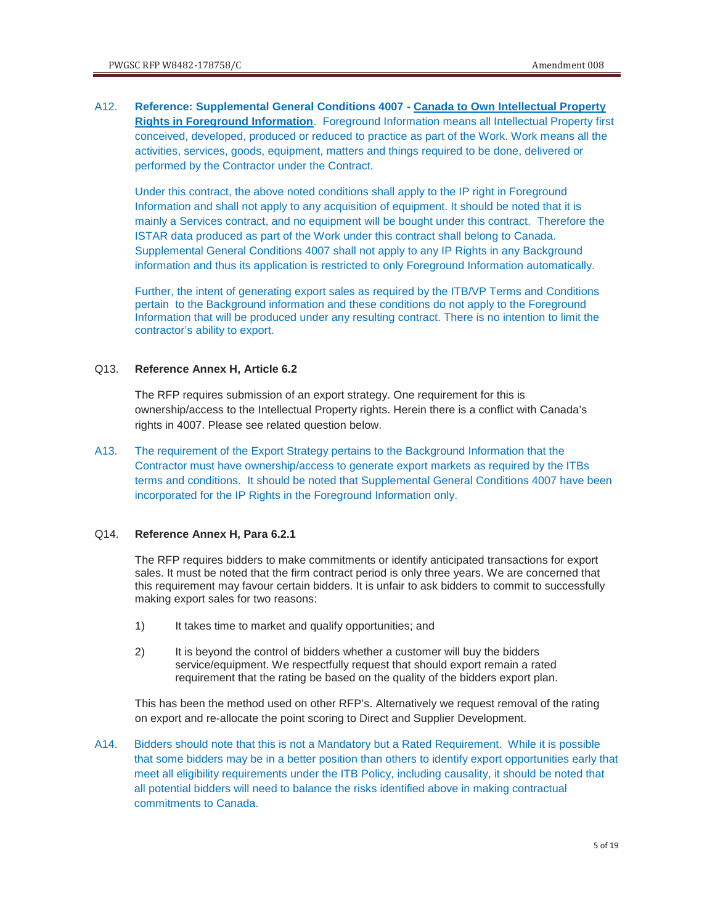A12. **Reference: Supplemental General Conditions 4007 - Canada to Own Intellectual Property Rights in Foreground Information**. Foreground Information means all Intellectual Property first conceived, developed, produced or reduced to practice as part of the Work. Work means all the activities, services, goods, equipment, matters and things required to be done, delivered or performed by the Contractor under the Contract.

 Under this contract, the above noted conditions shall apply to the IP right in Foreground Information and shall not apply to any acquisition of equipment. It should be noted that it is mainly a Services contract, and no equipment will be bought under this contract. Therefore the ISTAR data produced as part of the Work under this contract shall belong to Canada. Supplemental General Conditions 4007 shall not apply to any IP Rights in any Background information and thus its application is restricted to only Foreground Information automatically.

 Further, the intent of generating export sales as required by the ITB/VP Terms and Conditions pertain to the Background information and these conditions do not apply to the Foreground Information that will be produced under any resulting contract. There is no intention to limit the contractor's ability to export.

### Q13. **Reference Annex H, Article 6.2**

 The RFP requires submission of an export strategy. One requirement for this is ownership/access to the Intellectual Property rights. Herein there is a conflict with Canada's rights in 4007. Please see related question below.

A13. The requirement of the Export Strategy pertains to the Background Information that the Contractor must have ownership/access to generate export markets as required by the ITBs terms and conditions. It should be noted that Supplemental General Conditions 4007 have been incorporated for the IP Rights in the Foreground Information only.

### Q14. **Reference Annex H, Para 6.2.1**

 The RFP requires bidders to make commitments or identify anticipated transactions for export sales. It must be noted that the firm contract period is only three years. We are concerned that this requirement may favour certain bidders. It is unfair to ask bidders to commit to successfully making export sales for two reasons:

- 1) It takes time to market and qualify opportunities; and
- 2) It is beyond the control of bidders whether a customer will buy the bidders service/equipment. We respectfully request that should export remain a rated requirement that the rating be based on the quality of the bidders export plan.

This has been the method used on other RFP's. Alternatively we request removal of the rating on export and re-allocate the point scoring to Direct and Supplier Development.

A14. Bidders should note that this is not a Mandatory but a Rated Requirement. While it is possible that some bidders may be in a better position than others to identify export opportunities early that meet all eligibility requirements under the ITB Policy, including causality, it should be noted that all potential bidders will need to balance the risks identified above in making contractual commitments to Canada.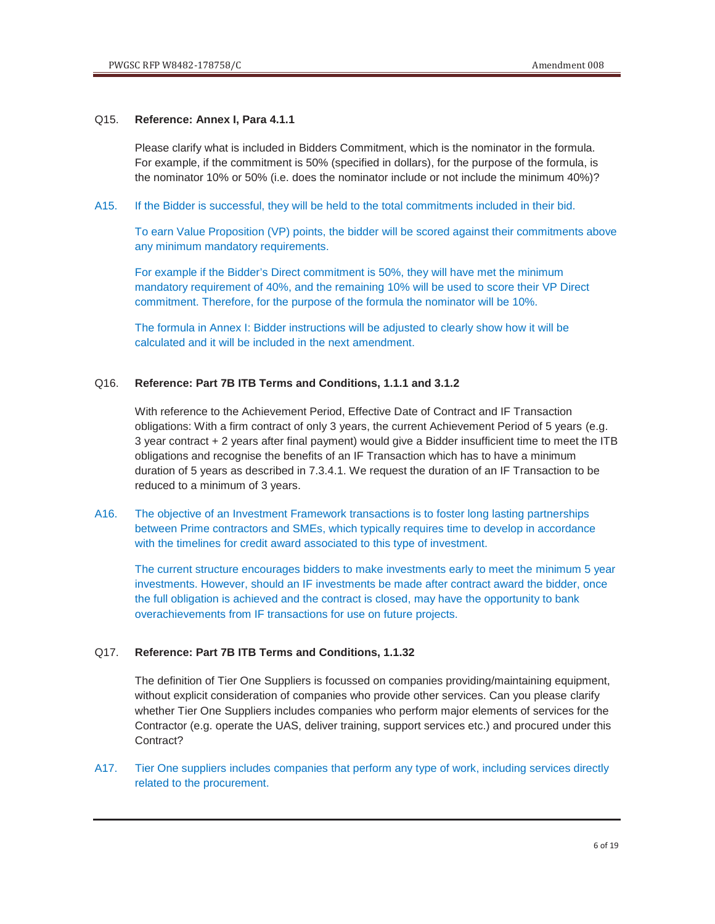### Q15. **Reference: Annex I, Para 4.1.1**

 Please clarify what is included in Bidders Commitment, which is the nominator in the formula. For example, if the commitment is 50% (specified in dollars), for the purpose of the formula, is the nominator 10% or 50% (i.e. does the nominator include or not include the minimum 40%)?

### A15. If the Bidder is successful, they will be held to the total commitments included in their bid.

To earn Value Proposition (VP) points, the bidder will be scored against their commitments above any minimum mandatory requirements.

For example if the Bidder's Direct commitment is 50%, they will have met the minimum mandatory requirement of 40%, and the remaining 10% will be used to score their VP Direct commitment. Therefore, for the purpose of the formula the nominator will be 10%.

The formula in Annex I: Bidder instructions will be adjusted to clearly show how it will be calculated and it will be included in the next amendment.

# Q16. **Reference: Part 7B ITB Terms and Conditions, 1.1.1 and 3.1.2**

With reference to the Achievement Period, Effective Date of Contract and IF Transaction obligations: With a firm contract of only 3 years, the current Achievement Period of 5 years (e.g. 3 year contract + 2 years after final payment) would give a Bidder insufficient time to meet the ITB obligations and recognise the benefits of an IF Transaction which has to have a minimum duration of 5 years as described in 7.3.4.1. We request the duration of an IF Transaction to be reduced to a minimum of 3 years.

A16. The objective of an Investment Framework transactions is to foster long lasting partnerships between Prime contractors and SMEs, which typically requires time to develop in accordance with the timelines for credit award associated to this type of investment.

 The current structure encourages bidders to make investments early to meet the minimum 5 year investments. However, should an IF investments be made after contract award the bidder, once the full obligation is achieved and the contract is closed, may have the opportunity to bank overachievements from IF transactions for use on future projects.

### Q17. **Reference: Part 7B ITB Terms and Conditions, 1.1.32**

The definition of Tier One Suppliers is focussed on companies providing/maintaining equipment, without explicit consideration of companies who provide other services. Can you please clarify whether Tier One Suppliers includes companies who perform major elements of services for the Contractor (e.g. operate the UAS, deliver training, support services etc.) and procured under this Contract?

# A17. Tier One suppliers includes companies that perform any type of work, including services directly related to the procurement.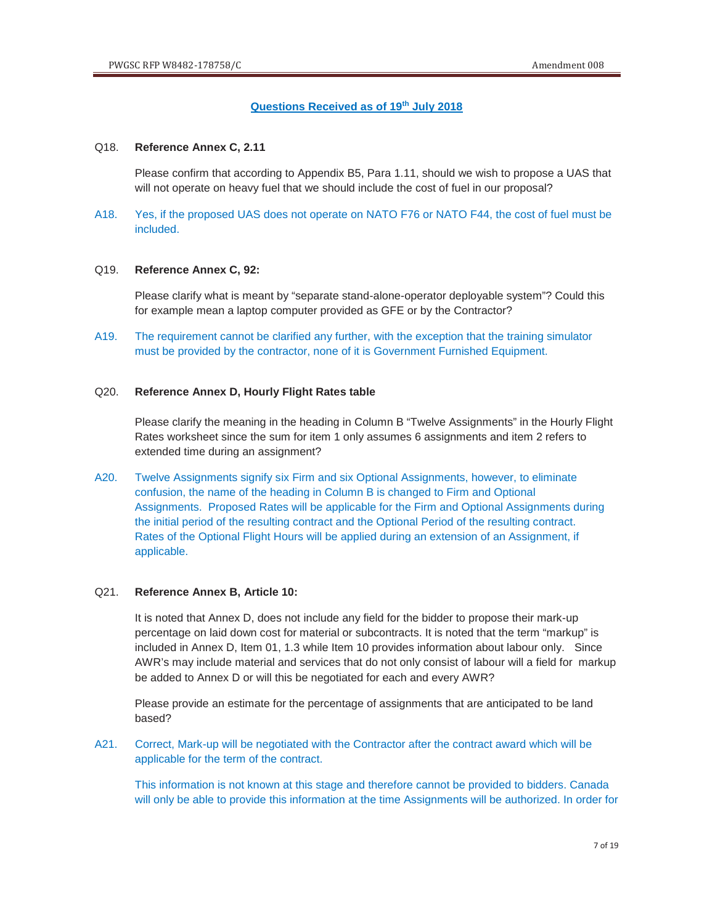### **Questions Received as of 19th July 2018**

#### Q18. **Reference Annex C, 2.11**

 Please confirm that according to Appendix B5, Para 1.11, should we wish to propose a UAS that will not operate on heavy fuel that we should include the cost of fuel in our proposal?

### A18. Yes, if the proposed UAS does not operate on NATO F76 or NATO F44, the cost of fuel must be included.

### Q19. **Reference Annex C, 92:**

Please clarify what is meant by "separate stand-alone-operator deployable system"? Could this for example mean a laptop computer provided as GFE or by the Contractor?

A19. The requirement cannot be clarified any further, with the exception that the training simulator must be provided by the contractor, none of it is Government Furnished Equipment.

### Q20. **Reference Annex D, Hourly Flight Rates table**

Please clarify the meaning in the heading in Column B "Twelve Assignments" in the Hourly Flight Rates worksheet since the sum for item 1 only assumes 6 assignments and item 2 refers to extended time during an assignment?

A20. Twelve Assignments signify six Firm and six Optional Assignments, however, to eliminate confusion, the name of the heading in Column B is changed to Firm and Optional Assignments. Proposed Rates will be applicable for the Firm and Optional Assignments during the initial period of the resulting contract and the Optional Period of the resulting contract. Rates of the Optional Flight Hours will be applied during an extension of an Assignment, if applicable.

#### Q21. **Reference Annex B, Article 10:**

 It is noted that Annex D, does not include any field for the bidder to propose their mark-up percentage on laid down cost for material or subcontracts. It is noted that the term "markup" is included in Annex D, Item 01, 1.3 while Item 10 provides information about labour only. Since AWR's may include material and services that do not only consist of labour will a field for markup be added to Annex D or will this be negotiated for each and every AWR?

 Please provide an estimate for the percentage of assignments that are anticipated to be land based?

A21. Correct, Mark-up will be negotiated with the Contractor after the contract award which will be applicable for the term of the contract.

 This information is not known at this stage and therefore cannot be provided to bidders. Canada will only be able to provide this information at the time Assignments will be authorized. In order for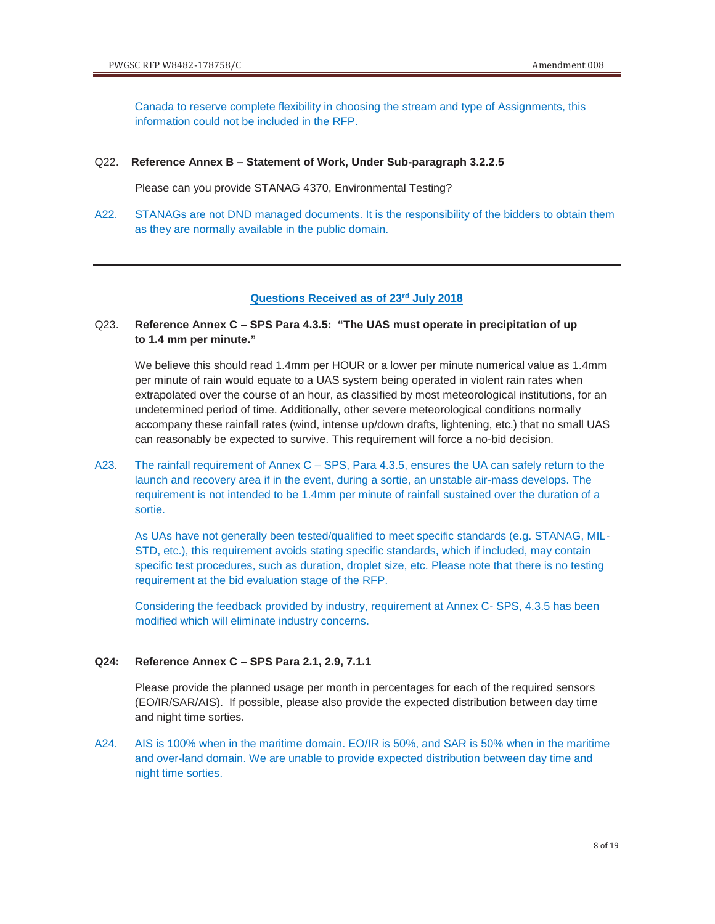Canada to reserve complete flexibility in choosing the stream and type of Assignments, this information could not be included in the RFP.

#### Q22. **Reference Annex B – Statement of Work, Under Sub-paragraph 3.2.2.5**

Please can you provide STANAG 4370, Environmental Testing?

A22. STANAGs are not DND managed documents. It is the responsibility of the bidders to obtain them as they are normally available in the public domain.

# **Questions Received as of 23rd July 2018**

# Q23. **Reference Annex C – SPS Para 4.3.5: "The UAS must operate in precipitation of up to 1.4 mm per minute."**

 We believe this should read 1.4mm per HOUR or a lower per minute numerical value as 1.4mm per minute of rain would equate to a UAS system being operated in violent rain rates when extrapolated over the course of an hour, as classified by most meteorological institutions, for an undetermined period of time. Additionally, other severe meteorological conditions normally accompany these rainfall rates (wind, intense up/down drafts, lightening, etc.) that no small UAS can reasonably be expected to survive. This requirement will force a no-bid decision.

A23. The rainfall requirement of Annex C – SPS, Para 4.3.5, ensures the UA can safely return to the launch and recovery area if in the event, during a sortie, an unstable air-mass develops. The requirement is not intended to be 1.4mm per minute of rainfall sustained over the duration of a sortie.

 As UAs have not generally been tested/qualified to meet specific standards (e.g. STANAG, MIL- STD, etc.), this requirement avoids stating specific standards, which if included, may contain specific test procedures, such as duration, droplet size, etc. Please note that there is no testing requirement at the bid evaluation stage of the RFP.

 Considering the feedback provided by industry, requirement at Annex C- SPS, 4.3.5 has been modified which will eliminate industry concerns.

#### **Q24: Reference Annex C – SPS Para 2.1, 2.9, 7.1.1**

 Please provide the planned usage per month in percentages for each of the required sensors (EO/IR/SAR/AIS). If possible, please also provide the expected distribution between day time and night time sorties.

A24. AIS is 100% when in the maritime domain. EO/IR is 50%, and SAR is 50% when in the maritime and over-land domain. We are unable to provide expected distribution between day time and night time sorties.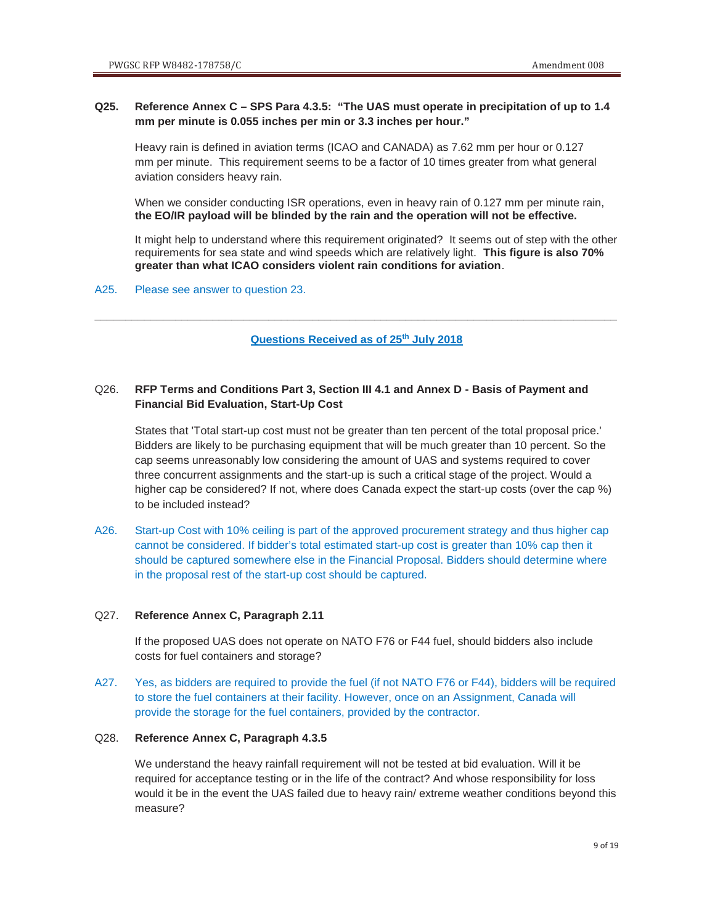# **Q25. Reference Annex C – SPS Para 4.3.5: "The UAS must operate in precipitation of up to 1.4 mm per minute is 0.055 inches per min or 3.3 inches per hour."**

 Heavy rain is defined in aviation terms (ICAO and CANADA) as 7.62 mm per hour or 0.127 mm per minute. This requirement seems to be a factor of 10 times greater from what general aviation considers heavy rain.

 When we consider conducting ISR operations, even in heavy rain of 0.127 mm per minute rain, **the EO/IR payload will be blinded by the rain and the operation will not be effective.**

 It might help to understand where this requirement originated? It seems out of step with the other requirements for sea state and wind speeds which are relatively light. **This figure is also 70% greater than what ICAO considers violent rain conditions for aviation**.

# A25. Please see answer to question 23.

# **Questions Received as of 25th July 2018**

**\_\_\_\_\_\_\_\_\_\_\_\_\_\_\_\_\_\_\_\_\_\_\_\_\_\_\_\_\_\_\_\_\_\_\_\_\_\_\_\_\_\_\_\_\_\_\_\_\_\_\_\_\_\_\_\_\_\_\_\_\_\_\_\_\_\_\_\_\_\_\_\_\_\_\_\_\_\_\_\_\_\_\_\_** 

# Q26. **RFP Terms and Conditions Part 3, Section III 4.1 and Annex D - Basis of Payment and Financial Bid Evaluation, Start-Up Cost**

 States that 'Total start-up cost must not be greater than ten percent of the total proposal price.' Bidders are likely to be purchasing equipment that will be much greater than 10 percent. So the cap seems unreasonably low considering the amount of UAS and systems required to cover three concurrent assignments and the start-up is such a critical stage of the project. Would a higher cap be considered? If not, where does Canada expect the start-up costs (over the cap %) to be included instead?

A26. Start-up Cost with 10% ceiling is part of the approved procurement strategy and thus higher cap cannot be considered. If bidder's total estimated start-up cost is greater than 10% cap then it should be captured somewhere else in the Financial Proposal. Bidders should determine where in the proposal rest of the start-up cost should be captured.

### Q27. **Reference Annex C, Paragraph 2.11**

 If the proposed UAS does not operate on NATO F76 or F44 fuel, should bidders also include costs for fuel containers and storage?

A27. Yes, as bidders are required to provide the fuel (if not NATO F76 or F44), bidders will be required to store the fuel containers at their facility. However, once on an Assignment, Canada will provide the storage for the fuel containers, provided by the contractor.

# Q28. **Reference Annex C, Paragraph 4.3.5**

 We understand the heavy rainfall requirement will not be tested at bid evaluation. Will it be required for acceptance testing or in the life of the contract? And whose responsibility for loss would it be in the event the UAS failed due to heavy rain/ extreme weather conditions beyond this measure?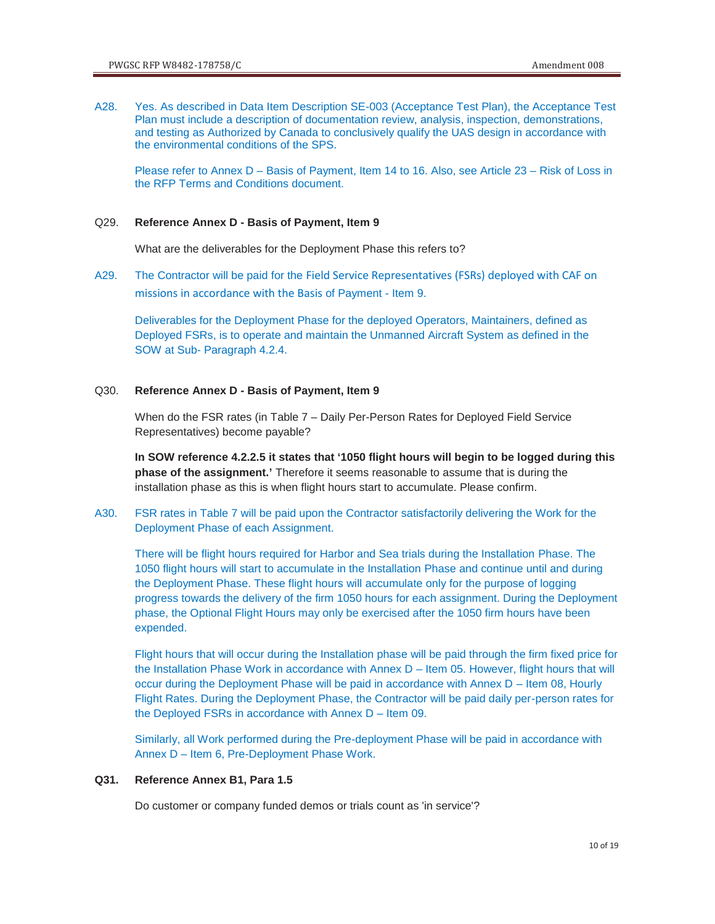A28. Yes. As described in Data Item Description SE-003 (Acceptance Test Plan), the Acceptance Test Plan must include a description of documentation review, analysis, inspection, demonstrations, and testing as Authorized by Canada to conclusively qualify the UAS design in accordance with the environmental conditions of the SPS.

 Please refer to Annex D – Basis of Payment, Item 14 to 16. Also, see Article 23 – Risk of Loss in the RFP Terms and Conditions document.

#### Q29. **Reference Annex D - Basis of Payment, Item 9**

What are the deliverables for the Deployment Phase this refers to?

A29. The Contractor will be paid for the Field Service Representatives (FSRs) deployed with CAF on missions in accordance with the Basis of Payment - Item 9.

Deliverables for the Deployment Phase for the deployed Operators, Maintainers, defined as Deployed FSRs, is to operate and maintain the Unmanned Aircraft System as defined in the SOW at Sub- Paragraph 4.2.4.

#### Q30. **Reference Annex D - Basis of Payment, Item 9**

When do the FSR rates (in Table 7 – Daily Per-Person Rates for Deployed Field Service Representatives) become payable?

**In SOW reference 4.2.2.5 it states that '1050 flight hours will begin to be logged during this phase of the assignment.'** Therefore it seems reasonable to assume that is during the installation phase as this is when flight hours start to accumulate. Please confirm.

A30. FSR rates in Table 7 will be paid upon the Contractor satisfactorily delivering the Work for the Deployment Phase of each Assignment.

There will be flight hours required for Harbor and Sea trials during the Installation Phase. The 1050 flight hours will start to accumulate in the Installation Phase and continue until and during the Deployment Phase. These flight hours will accumulate only for the purpose of logging progress towards the delivery of the firm 1050 hours for each assignment. During the Deployment phase, the Optional Flight Hours may only be exercised after the 1050 firm hours have been expended.

Flight hours that will occur during the Installation phase will be paid through the firm fixed price for the Installation Phase Work in accordance with Annex D – Item 05. However, flight hours that will occur during the Deployment Phase will be paid in accordance with Annex D – Item 08, Hourly Flight Rates. During the Deployment Phase, the Contractor will be paid daily per-person rates for the Deployed FSRs in accordance with Annex D – Item 09.

Similarly, all Work performed during the Pre-deployment Phase will be paid in accordance with Annex D – Item 6, Pre-Deployment Phase Work.

#### **Q31. Reference Annex B1, Para 1.5**

Do customer or company funded demos or trials count as 'in service'?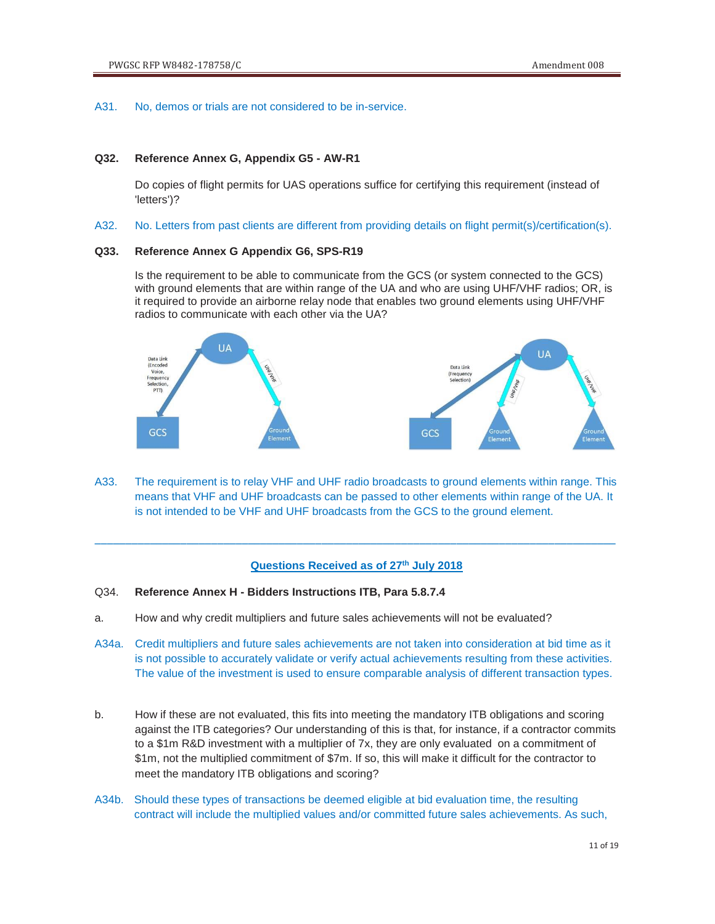#### A31. No, demos or trials are not considered to be in-service.

#### **Q32. Reference Annex G, Appendix G5 - AW-R1**

Do copies of flight permits for UAS operations suffice for certifying this requirement (instead of 'letters')?

A32. No. Letters from past clients are different from providing details on flight permit(s)/certification(s).

#### **Q33. Reference Annex G Appendix G6, SPS-R19**

Is the requirement to be able to communicate from the GCS (or system connected to the GCS) with ground elements that are within range of the UA and who are using UHF/VHF radios; OR, is it required to provide an airborne relay node that enables two ground elements using UHF/VHF radios to communicate with each other via the UA?



A33. The requirement is to relay VHF and UHF radio broadcasts to ground elements within range. This means that VHF and UHF broadcasts can be passed to other elements within range of the UA. It is not intended to be VHF and UHF broadcasts from the GCS to the ground element.

### **Questions Received as of 27th July 2018**

 $\overline{\phantom{a}}$  , and the contribution of the contribution of the contribution of the contribution of the contribution of the contribution of the contribution of the contribution of the contribution of the contribution of the

### Q34. **Reference Annex H - Bidders Instructions ITB, Para 5.8.7.4**

- a. How and why credit multipliers and future sales achievements will not be evaluated?
- A34a. Credit multipliers and future sales achievements are not taken into consideration at bid time as it is not possible to accurately validate or verify actual achievements resulting from these activities. The value of the investment is used to ensure comparable analysis of different transaction types.
- b. How if these are not evaluated, this fits into meeting the mandatory ITB obligations and scoring against the ITB categories? Our understanding of this is that, for instance, if a contractor commits to a \$1m R&D investment with a multiplier of 7x, they are only evaluated on a commitment of \$1m, not the multiplied commitment of \$7m. If so, this will make it difficult for the contractor to meet the mandatory ITB obligations and scoring?
- A34b. Should these types of transactions be deemed eligible at bid evaluation time, the resulting contract will include the multiplied values and/or committed future sales achievements. As such,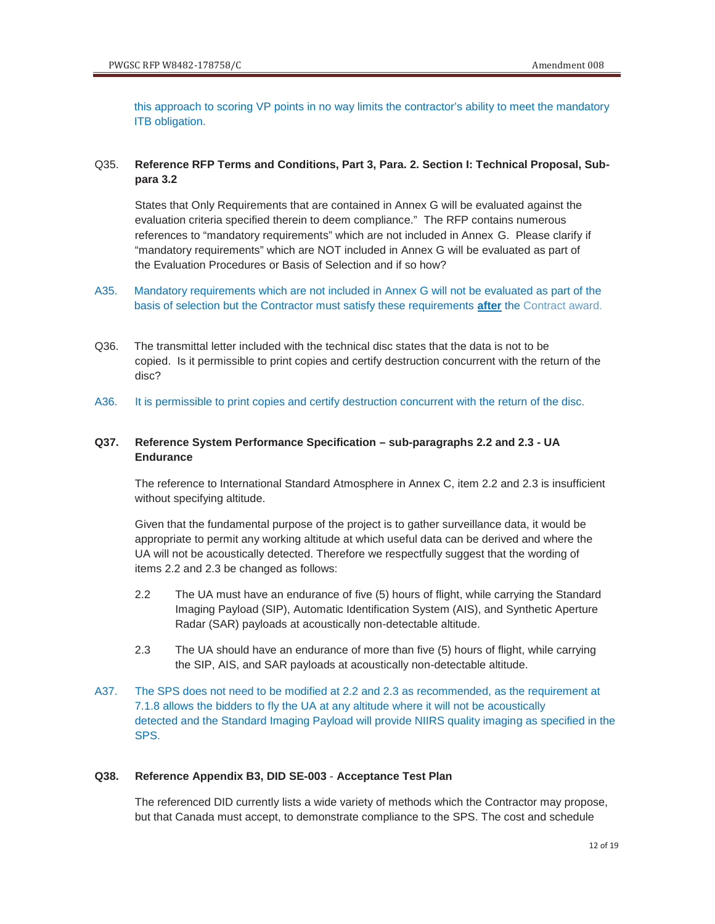this approach to scoring VP points in no way limits the contractor's ability to meet the mandatory ITB obligation.

# Q35. **Reference RFP Terms and Conditions, Part 3, Para. 2. Section I: Technical Proposal, Sub para 3.2**

 States that Only Requirements that are contained in Annex G will be evaluated against the evaluation criteria specified therein to deem compliance." The RFP contains numerous references to "mandatory requirements" which are not included in Annex G. Please clarify if "mandatory requirements" which are NOT included in Annex G will be evaluated as part of the Evaluation Procedures or Basis of Selection and if so how?

- A35. Mandatory requirements which are not included in Annex G will not be evaluated as part of the basis of selection but the Contractor must satisfy these requirements **after** the Contract award.
- Q36. The transmittal letter included with the technical disc states that the data is not to be copied. Is it permissible to print copies and certify destruction concurrent with the return of the disc?
- A36. It is permissible to print copies and certify destruction concurrent with the return of the disc.

# **Q37. Reference System Performance Specification – sub-paragraphs 2.2 and 2.3 - UA Endurance**

 The reference to International Standard Atmosphere in Annex C, item 2.2 and 2.3 is insufficient without specifying altitude.

 Given that the fundamental purpose of the project is to gather surveillance data, it would be appropriate to permit any working altitude at which useful data can be derived and where the UA will not be acoustically detected. Therefore we respectfully suggest that the wording of items 2.2 and 2.3 be changed as follows:

- 2.2 The UA must have an endurance of five (5) hours of flight, while carrying the Standard Imaging Payload (SIP), Automatic Identification System (AIS), and Synthetic Aperture Radar (SAR) payloads at acoustically non-detectable altitude.
- 2.3 The UA should have an endurance of more than five (5) hours of flight, while carrying the SIP, AIS, and SAR payloads at acoustically non-detectable altitude.
- A37. The SPS does not need to be modified at 2.2 and 2.3 as recommended, as the requirement at 7.1.8 allows the bidders to fly the UA at any altitude where it will not be acoustically detected and the Standard Imaging Payload will provide NIIRS quality imaging as specified in the SPS.

### **Q38. Reference Appendix B3, DID SE-003** - **Acceptance Test Plan**

 The referenced DID currently lists a wide variety of methods which the Contractor may propose, but that Canada must accept, to demonstrate compliance to the SPS. The cost and schedule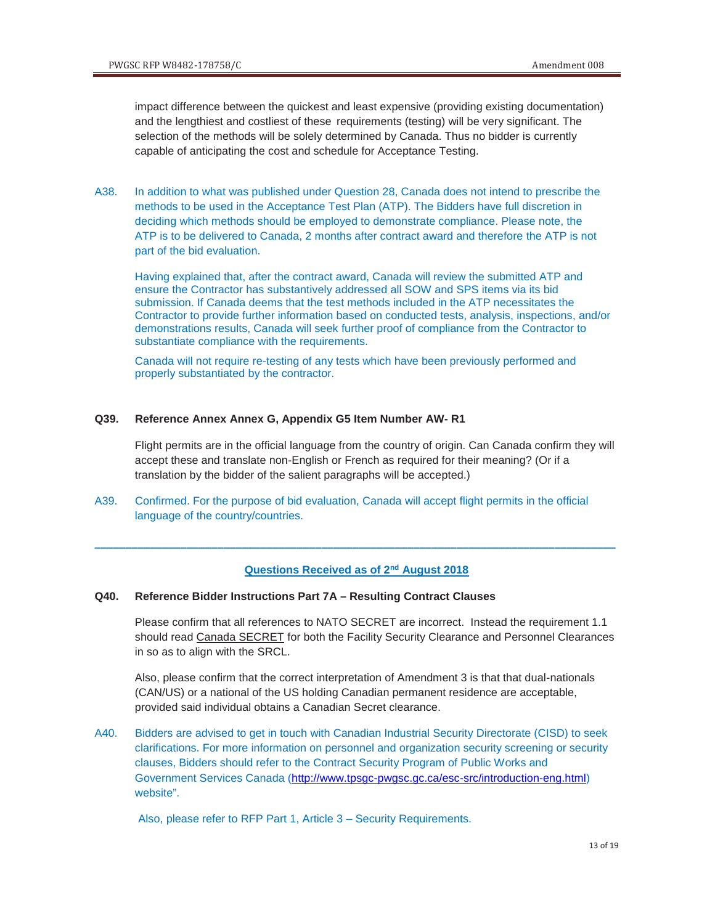impact difference between the quickest and least expensive (providing existing documentation) and the lengthiest and costliest of these requirements (testing) will be very significant. The selection of the methods will be solely determined by Canada. Thus no bidder is currently capable of anticipating the cost and schedule for Acceptance Testing.

A38. In addition to what was published under Question 28, Canada does not intend to prescribe the methods to be used in the Acceptance Test Plan (ATP). The Bidders have full discretion in deciding which methods should be employed to demonstrate compliance. Please note, the ATP is to be delivered to Canada, 2 months after contract award and therefore the ATP is not part of the bid evaluation.

 Having explained that, after the contract award, Canada will review the submitted ATP and ensure the Contractor has substantively addressed all SOW and SPS items via its bid submission. If Canada deems that the test methods included in the ATP necessitates the Contractor to provide further information based on conducted tests, analysis, inspections, and/or demonstrations results, Canada will seek further proof of compliance from the Contractor to substantiate compliance with the requirements.

 Canada will not require re-testing of any tests which have been previously performed and properly substantiated by the contractor.

### **Q39. Reference Annex Annex G, Appendix G5 Item Number AW- R1**

Flight permits are in the official language from the country of origin. Can Canada confirm they will accept these and translate non-English or French as required for their meaning? (Or if a translation by the bidder of the salient paragraphs will be accepted.)

A39. Confirmed. For the purpose of bid evaluation, Canada will accept flight permits in the official language of the country/countries.

# **Questions Received as of 2nd August 2018**

**\_\_\_\_\_\_\_\_\_\_\_\_\_\_\_\_\_\_\_\_\_\_\_\_\_\_\_\_\_\_\_\_\_\_\_\_\_\_\_\_\_\_\_\_\_\_\_\_\_\_\_\_\_\_\_\_\_\_\_\_\_\_\_\_\_\_\_\_\_\_\_\_\_\_\_\_\_\_\_\_\_\_\_\_\_** 

# **Q40. Reference Bidder Instructions Part 7A – Resulting Contract Clauses**

 Please confirm that all references to NATO SECRET are incorrect. Instead the requirement 1.1 should read Canada SECRET for both the Facility Security Clearance and Personnel Clearances in so as to align with the SRCL.

 Also, please confirm that the correct interpretation of Amendment 3 is that that dual-nationals (CAN/US) or a national of the US holding Canadian permanent residence are acceptable, provided said individual obtains a Canadian Secret clearance.

A40. Bidders are advised to get in touch with Canadian Industrial Security Directorate (CISD) to seek clarifications. For more information on personnel and organization security screening or security clauses, Bidders should refer to the Contract Security Program of Public Works and Government Services Canada (http://www.tpsgc-pwgsc.gc.ca/esc-src/introduction-eng.html) website".

Also, please refer to RFP Part 1, Article 3 – Security Requirements.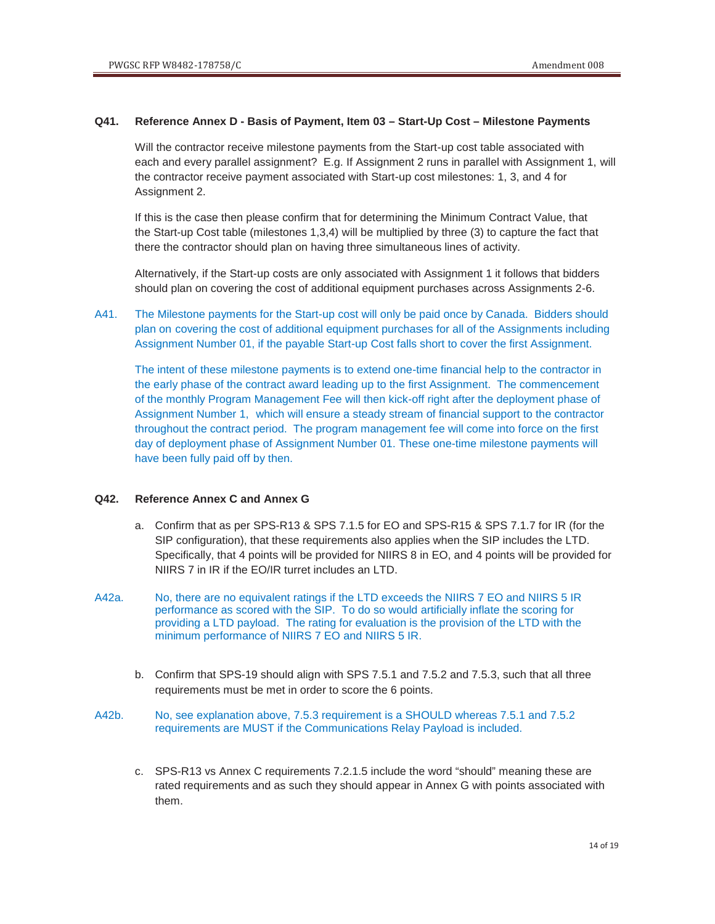### **Q41. Reference Annex D - Basis of Payment, Item 03 – Start-Up Cost – Milestone Payments**

 Will the contractor receive milestone payments from the Start-up cost table associated with each and every parallel assignment? E.g. If Assignment 2 runs in parallel with Assignment 1, will the contractor receive payment associated with Start-up cost milestones: 1, 3, and 4 for Assignment 2.

 If this is the case then please confirm that for determining the Minimum Contract Value, that the Start-up Cost table (milestones 1,3,4) will be multiplied by three (3) to capture the fact that there the contractor should plan on having three simultaneous lines of activity.

 Alternatively, if the Start-up costs are only associated with Assignment 1 it follows that bidders should plan on covering the cost of additional equipment purchases across Assignments 2-6.

A41. The Milestone payments for the Start-up cost will only be paid once by Canada. Bidders should plan on covering the cost of additional equipment purchases for all of the Assignments including Assignment Number 01, if the payable Start-up Cost falls short to cover the first Assignment.

 The intent of these milestone payments is to extend one-time financial help to the contractor in the early phase of the contract award leading up to the first Assignment. The commencement of the monthly Program Management Fee will then kick-off right after the deployment phase of Assignment Number 1, which will ensure a steady stream of financial support to the contractor throughout the contract period. The program management fee will come into force on the first day of deployment phase of Assignment Number 01. These one-time milestone payments will have been fully paid off by then.

### **Q42. Reference Annex C and Annex G**

- a. Confirm that as per SPS-R13 & SPS 7.1.5 for EO and SPS-R15 & SPS 7.1.7 for IR (for the SIP configuration), that these requirements also applies when the SIP includes the LTD. Specifically, that 4 points will be provided for NIIRS 8 in EO, and 4 points will be provided for NIIRS 7 in IR if the EO/IR turret includes an LTD.
- A42a. No, there are no equivalent ratings if the LTD exceeds the NIIRS 7 EO and NIIRS 5 IR performance as scored with the SIP. To do so would artificially inflate the scoring for providing a LTD payload. The rating for evaluation is the provision of the LTD with the minimum performance of NIIRS 7 EO and NIIRS 5 IR.
	- b. Confirm that SPS-19 should align with SPS 7.5.1 and 7.5.2 and 7.5.3, such that all three requirements must be met in order to score the 6 points.
- A42b. No, see explanation above, 7.5.3 requirement is a SHOULD whereas 7.5.1 and 7.5.2 requirements are MUST if the Communications Relay Payload is included.
	- c. SPS-R13 vs Annex C requirements 7.2.1.5 include the word "should" meaning these are rated requirements and as such they should appear in Annex G with points associated with them.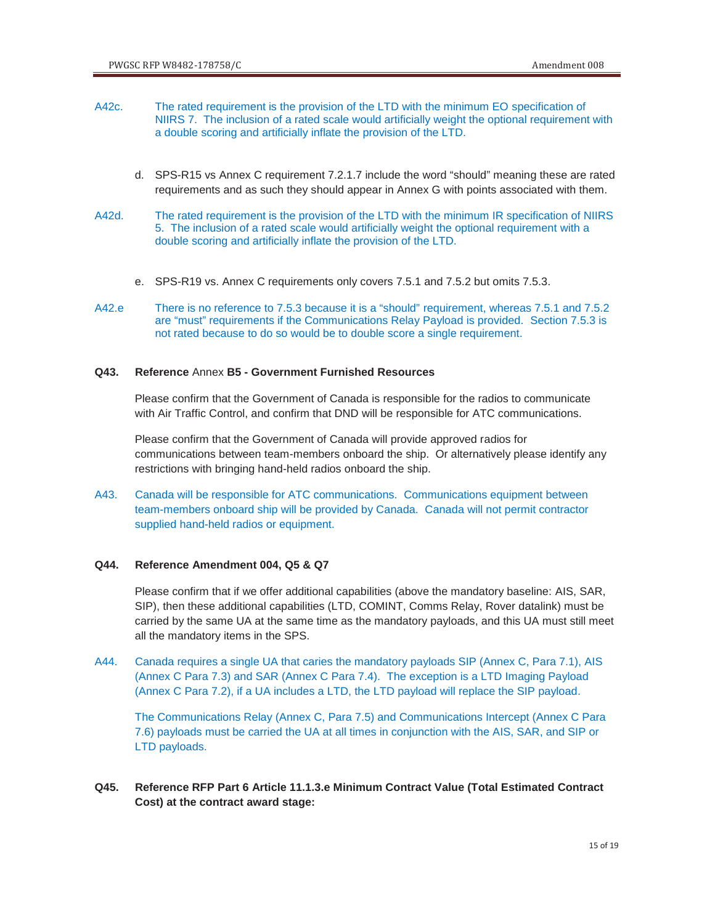- A42c. The rated requirement is the provision of the LTD with the minimum EO specification of NIIRS 7. The inclusion of a rated scale would artificially weight the optional requirement with a double scoring and artificially inflate the provision of the LTD.
	- d. SPS-R15 vs Annex C requirement 7.2.1.7 include the word "should" meaning these are rated requirements and as such they should appear in Annex G with points associated with them.
- A42d. The rated requirement is the provision of the LTD with the minimum IR specification of NIIRS 5. The inclusion of a rated scale would artificially weight the optional requirement with a double scoring and artificially inflate the provision of the LTD.
	- e. SPS-R19 vs. Annex C requirements only covers 7.5.1 and 7.5.2 but omits 7.5.3.
- A42.e There is no reference to 7.5.3 because it is a "should" requirement, whereas 7.5.1 and 7.5.2 are "must" requirements if the Communications Relay Payload is provided. Section 7.5.3 is not rated because to do so would be to double score a single requirement.

### **Q43. Reference** Annex **B5 - Government Furnished Resources**

 Please confirm that the Government of Canada is responsible for the radios to communicate with Air Traffic Control, and confirm that DND will be responsible for ATC communications.

 Please confirm that the Government of Canada will provide approved radios for communications between team-members onboard the ship. Or alternatively please identify any restrictions with bringing hand-held radios onboard the ship.

A43. Canada will be responsible for ATC communications. Communications equipment between team-members onboard ship will be provided by Canada. Canada will not permit contractor supplied hand-held radios or equipment.

### **Q44. Reference Amendment 004, Q5 & Q7**

 Please confirm that if we offer additional capabilities (above the mandatory baseline: AIS, SAR, SIP), then these additional capabilities (LTD, COMINT, Comms Relay, Rover datalink) must be carried by the same UA at the same time as the mandatory payloads, and this UA must still meet all the mandatory items in the SPS.

A44. Canada requires a single UA that caries the mandatory payloads SIP (Annex C, Para 7.1), AIS (Annex C Para 7.3) and SAR (Annex C Para 7.4). The exception is a LTD Imaging Payload (Annex C Para 7.2), if a UA includes a LTD, the LTD payload will replace the SIP payload.

The Communications Relay (Annex C, Para 7.5) and Communications Intercept (Annex C Para 7.6) payloads must be carried the UA at all times in conjunction with the AIS, SAR, and SIP or LTD payloads.

**Q45. Reference RFP Part 6 Article 11.1.3.e Minimum Contract Value (Total Estimated Contract Cost) at the contract award stage:**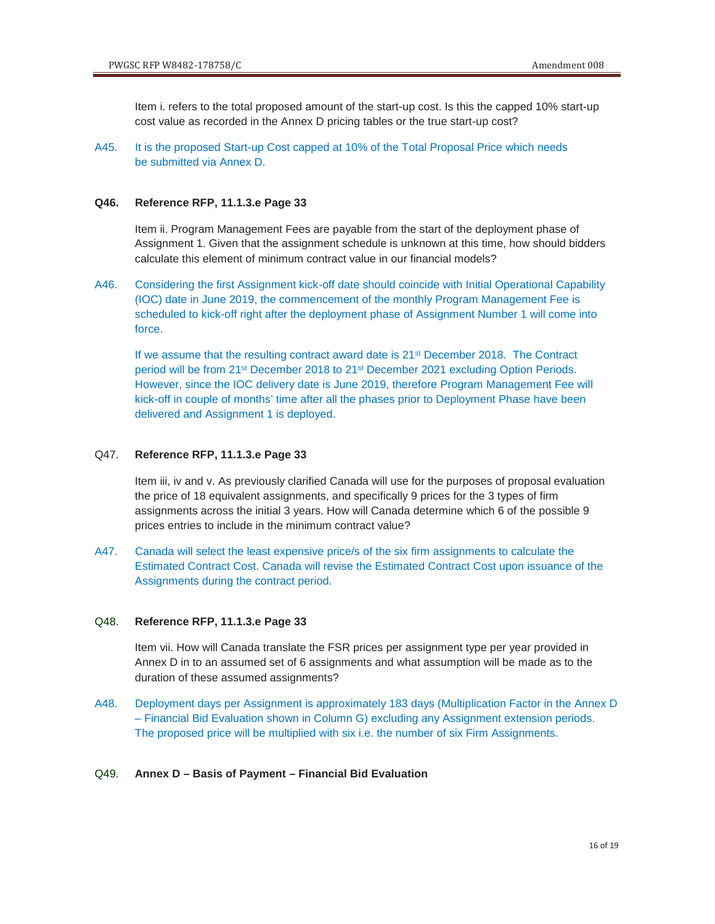Item i. refers to the total proposed amount of the start-up cost. Is this the capped 10% start-up cost value as recorded in the Annex D pricing tables or the true start-up cost?

A45. It is the proposed Start-up Cost capped at 10% of the Total Proposal Price which needs be submitted via Annex D.

#### **Q46. Reference RFP, 11.1.3.e Page 33**

 Item ii. Program Management Fees are payable from the start of the deployment phase of Assignment 1. Given that the assignment schedule is unknown at this time, how should bidders calculate this element of minimum contract value in our financial models?

A46. Considering the first Assignment kick-off date should coincide with Initial Operational Capability (IOC) date in June 2019, the commencement of the monthly Program Management Fee is scheduled to kick-off right after the deployment phase of Assignment Number 1 will come into force.

 If we assume that the resulting contract award date is 21st December 2018. The Contract period will be from 21st December 2018 to 21st December 2021 excluding Option Periods. However, since the IOC delivery date is June 2019, therefore Program Management Fee will kick-off in couple of months' time after all the phases prior to Deployment Phase have been delivered and Assignment 1 is deployed.

### Q47. **Reference RFP, 11.1.3.e Page 33**

 Item iii, iv and v. As previously clarified Canada will use for the purposes of proposal evaluation the price of 18 equivalent assignments, and specifically 9 prices for the 3 types of firm assignments across the initial 3 years. How will Canada determine which 6 of the possible 9 prices entries to include in the minimum contract value?

A47. Canada will select the least expensive price/s of the six firm assignments to calculate the Estimated Contract Cost. Canada will revise the Estimated Contract Cost upon issuance of the Assignments during the contract period.

#### Q48. **Reference RFP, 11.1.3.e Page 33**

 Item vii. How will Canada translate the FSR prices per assignment type per year provided in Annex D in to an assumed set of 6 assignments and what assumption will be made as to the duration of these assumed assignments?

A48. Deployment days per Assignment is approximately 183 days (Multiplication Factor in the Annex D – Financial Bid Evaluation shown in Column G) excluding any Assignment extension periods. The proposed price will be multiplied with six i.e. the number of six Firm Assignments.

#### Q49. **Annex D – Basis of Payment – Financial Bid Evaluation**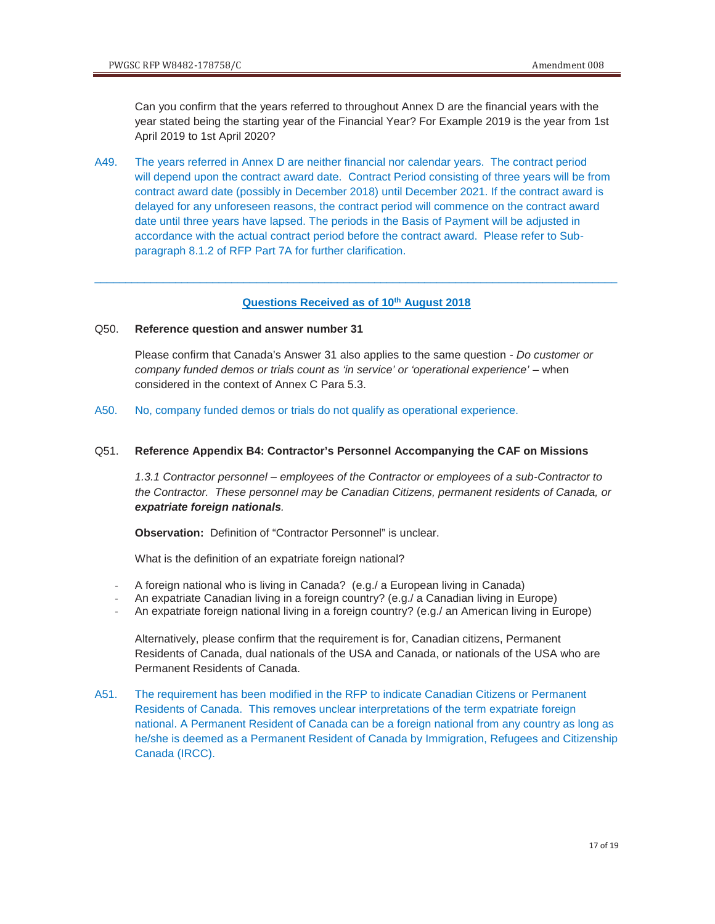Can you confirm that the years referred to throughout Annex D are the financial years with the year stated being the starting year of the Financial Year? For Example 2019 is the year from 1st April 2019 to 1st April 2020?

A49. The years referred in Annex D are neither financial nor calendar years. The contract period will depend upon the contract award date. Contract Period consisting of three years will be from contract award date (possibly in December 2018) until December 2021. If the contract award is delayed for any unforeseen reasons, the contract period will commence on the contract award date until three years have lapsed. The periods in the Basis of Payment will be adjusted in accordance with the actual contract period before the contract award. Please refer to Sub paragraph 8.1.2 of RFP Part 7A for further clarification.

# **Questions Received as of 10th August 2018**

\_\_\_\_\_\_\_\_\_\_\_\_\_\_\_\_\_\_\_\_\_\_\_\_\_\_\_\_\_\_\_\_\_\_\_\_\_\_\_\_\_\_\_\_\_\_\_\_\_\_\_\_\_\_\_\_\_\_\_\_\_\_\_\_\_\_\_\_\_\_\_\_\_\_\_\_\_\_\_\_\_\_\_\_

### Q50. **Reference question and answer number 31**

Please confirm that Canada's Answer 31 also applies to the same question - *Do customer or company funded demos or trials count as 'in service' or 'operational experience' –* when considered in the context of Annex C Para 5.3.

A50. No, company funded demos or trials do not qualify as operational experience.

### Q51. **Reference Appendix B4: Contractor's Personnel Accompanying the CAF on Missions**

*1.3.1 Contractor personnel – employees of the Contractor or employees of a sub-Contractor to the Contractor. These personnel may be Canadian Citizens, permanent residents of Canada, or expatriate foreign nationals.* 

 **Observation:** Definition of "Contractor Personnel" is unclear.

What is the definition of an expatriate foreign national?

- A foreign national who is living in Canada? (e.g./ a European living in Canada)
- An expatriate Canadian living in a foreign country? (e.g./ a Canadian living in Europe)
- An expatriate foreign national living in a foreign country? (e.g./ an American living in Europe)

 Alternatively, please confirm that the requirement is for, Canadian citizens, Permanent Residents of Canada, dual nationals of the USA and Canada, or nationals of the USA who are Permanent Residents of Canada.

A51. The requirement has been modified in the RFP to indicate Canadian Citizens or Permanent Residents of Canada. This removes unclear interpretations of the term expatriate foreign national. A Permanent Resident of Canada can be a foreign national from any country as long as he/she is deemed as a Permanent Resident of Canada by Immigration, Refugees and Citizenship Canada (IRCC).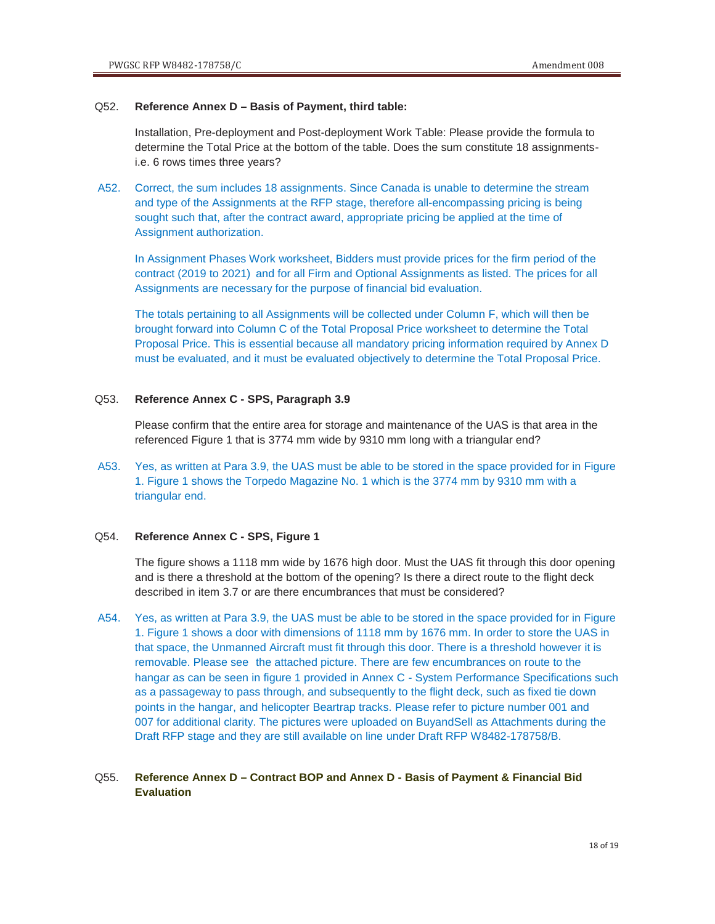#### Q52. **Reference Annex D – Basis of Payment, third table:**

 Installation, Pre-deployment and Post-deployment Work Table: Please provide the formula to determine the Total Price at the bottom of the table. Does the sum constitute 18 assignments i.e. 6 rows times three years?

A52. Correct, the sum includes 18 assignments. Since Canada is unable to determine the stream and type of the Assignments at the RFP stage, therefore all-encompassing pricing is being sought such that, after the contract award, appropriate pricing be applied at the time of Assignment authorization.

In Assignment Phases Work worksheet, Bidders must provide prices for the firm period of the contract (2019 to 2021) and for all Firm and Optional Assignments as listed. The prices for all Assignments are necessary for the purpose of financial bid evaluation.

 The totals pertaining to all Assignments will be collected under Column F, which will then be brought forward into Column C of the Total Proposal Price worksheet to determine the Total Proposal Price. This is essential because all mandatory pricing information required by Annex D must be evaluated, and it must be evaluated objectively to determine the Total Proposal Price.

### Q53. **Reference Annex C - SPS, Paragraph 3.9**

 Please confirm that the entire area for storage and maintenance of the UAS is that area in the referenced Figure 1 that is 3774 mm wide by 9310 mm long with a triangular end?

 A53. Yes, as written at Para 3.9, the UAS must be able to be stored in the space provided for in Figure 1. Figure 1 shows the Torpedo Magazine No. 1 which is the 3774 mm by 9310 mm with a triangular end.

### Q54. **Reference Annex C - SPS, Figure 1**

 The figure shows a 1118 mm wide by 1676 high door. Must the UAS fit through this door opening and is there a threshold at the bottom of the opening? Is there a direct route to the flight deck described in item 3.7 or are there encumbrances that must be considered?

 A54. Yes, as written at Para 3.9, the UAS must be able to be stored in the space provided for in Figure 1. Figure 1 shows a door with dimensions of 1118 mm by 1676 mm. In order to store the UAS in that space, the Unmanned Aircraft must fit through this door. There is a threshold however it is removable. Please see the attached picture. There are few encumbrances on route to the hangar as can be seen in figure 1 provided in Annex C - System Performance Specifications such as a passageway to pass through, and subsequently to the flight deck, such as fixed tie down points in the hangar, and helicopter Beartrap tracks. Please refer to picture number 001 and 007 for additional clarity. The pictures were uploaded on BuyandSell as Attachments during the Draft RFP stage and they are still available on line under Draft RFP W8482-178758/B.

# Q55. **Reference Annex D – Contract BOP and Annex D - Basis of Payment & Financial Bid Evaluation**